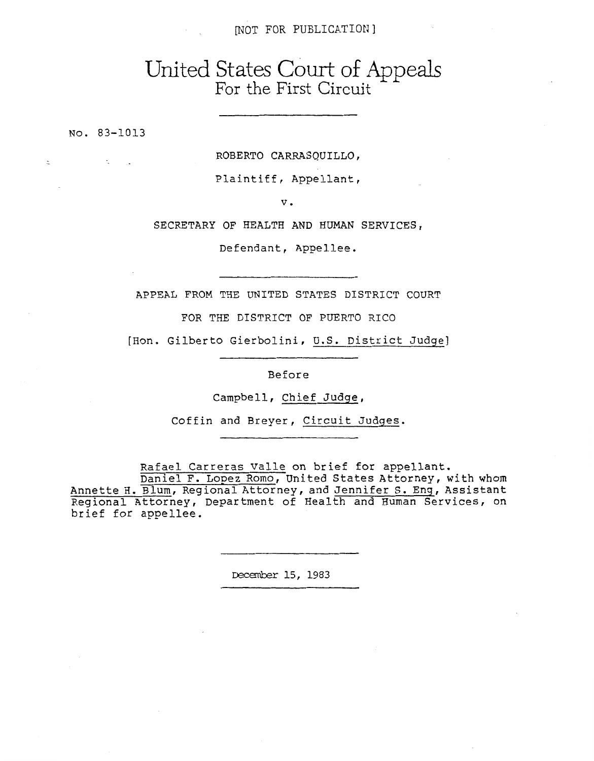## [NOT FOR **PUBLICATION <sup>3</sup>**

## United States Court of Appeals For the First Circuit

**NO. 83-1013** 

 $\overline{a}$ 

 $\sim 10^{-1}$  .

ROBERTO CARRRSQUILLO,

Plaintiff, Appellant,

V.

**SECRETARY OF HEALTH** AND HUMAN **SERVICES,** 

Defendant, Appellee.

APPEAL FROM THE UNITED STATES DISTRICT COURT

FOR THE DISTRICT OF PUERTO RICO

[Hon. Gilberto Gierbolini, U.S. District Judge]

Before

Campbell, Chief Judge,

Coffin and Breyer, Circuit Judqes.

Rafael Carreras Valle on brief for appellant.

Daniel F. Lopez **Romo,** United States Attorney, with whom Annette H. Blum, Regional Attorney, and Jennifer S. Enq, Assistant Regional Attorney, Department of Health and Human Services, on brief for appellee.

**December 15, 1983**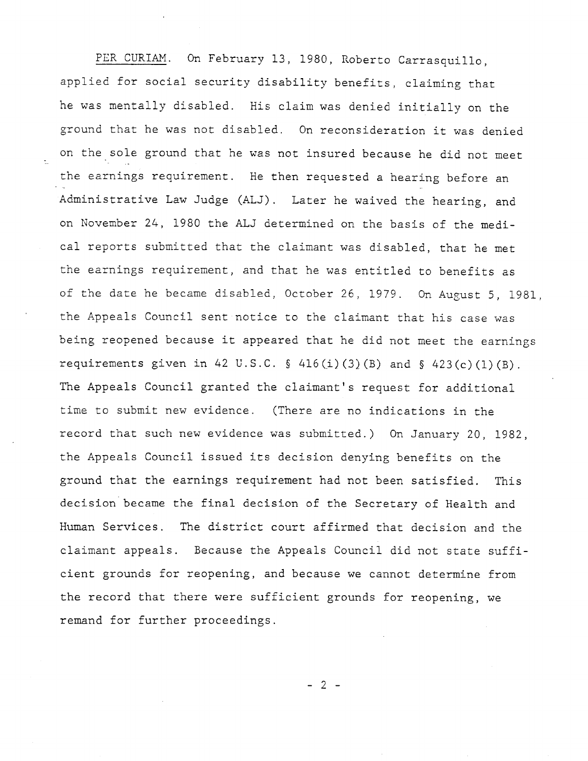PER CURIAM. *On* February 13, 1980, Roberto Carrasquillo, applied for social security disability benefits, claiming that he was mentally disabled. His claim was denied initially on the ground that he was not disabled. On reconsideration it was denied on the sole ground that he was not insured because he did not meet the earnings requirement. He then requested a hearing before an Administrative Law Judge (ALJ). Later he waived the hearing, and on November 24, 1980 the ALJ determined on the basis of the medical reports submitted that the claimant was disabled, that he met the earnings requirement, and that he was entitled to benefits as of the date he became disabled, October 26, 1979. On August 5, 1981, the Appeals Council sent notice to the claimant that his case was being reopened because it appeared that he did not meet the earnings requirements given in 42 **U.S.C. §** 416(i)(3)(B) and § 423(c)(l)(B). The Appeals Council granted the claimant's request for additional time to submit new evidence. (There are no indications in the record that such new evidence was submitted.) On January 20, 1982, the Appeals Council issued its decision denying benefits on the ground that the earnings requirement had not been satisfied. This decision became the final decision of the Secretary of Health and Human Services. The district court affirmed that decision and the claimant appeals. Because the Appeals Council did not state sufficient grounds for reopening, and because we cannot determine from the record that there were sufficient grounds for reopening, we remand for further proceedings.

-2-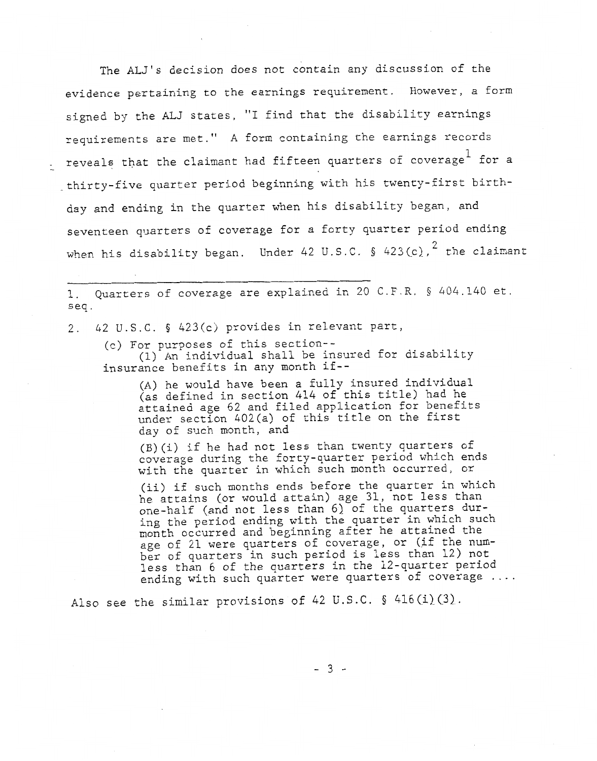The **ALJ's** decision does not contain any discussion of the evidence pertaining to the earnings requirement. However, a form signed by the ALJ states, "I find that the disability earnings requirements are met. **I1 A** form containing the earnings records - reveals that the claimant had fifteen quarters of coverage for a \_thirty-five quarter period beginning with his twenty-first birthday and ending in the quarter when his disability began, and seventeen quarters of coverage for a forty quarter period ending when his disability began. Under 42 U.S.C. § 423(c),  $^2$  the claimant

1. seq. Quarters of coverage are explained in 20 C.F.R. § 404.140 et.

2. 42 U.S.C. § 423(c) provides in relevant part,

(c) For purposes of this section--

insurance benefits in any month if-- (1) An individual shall be insured for disability

(A) he would have been **a** fully insured individual (as defined in section 414 of this title) had he attained age 62 and filed application for benefits under section 402(a) of this title on the first day of such month, and

(B)(i) if he had not less than twenty quarters of coverage during the forty-quarter period which ends with the quarter in which such month occurred, or

(ii) if such months ends before the quarter in which he attains (or would attain) age 31, not less than one-half (and not less than *6)* of the quarters during the period ending with the quarter in which such month occurred and beginning after he attained the age of 21 were quarters of coverage, or (if the number of quarters in such period is less than 12) not less than 6 of the quarters in the 12-quarter period ending with such quarter were quarters of coverage ....

Also see the similar provisions of 42 U.S.C. § 416(i)(3).

*-3-*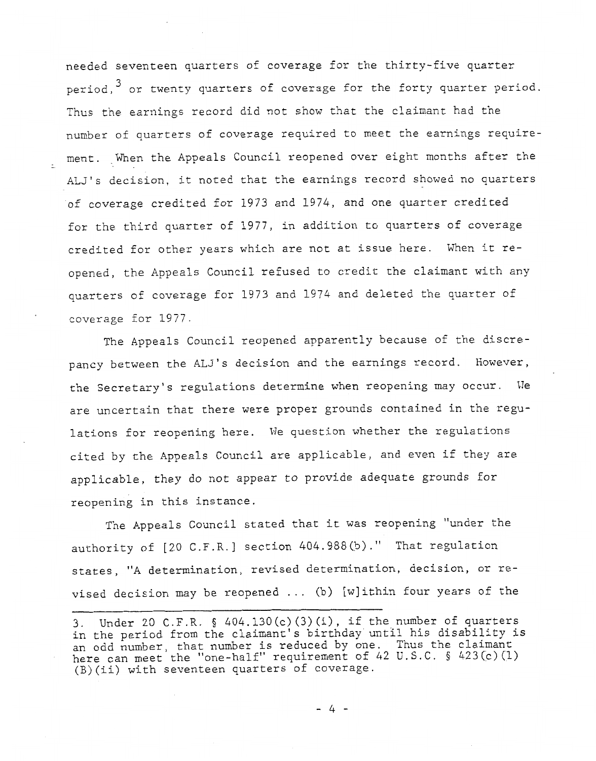needed seventeen quarters of coverage for the thirty-five quarter period, $<sup>3</sup>$  or twenty quarters of coverage for the forty quarter period.</sup> Thus the earnings record did not show that the claimant had the number of quarters of coverage required to meet the earnings requirement. When the Appeals Council reopened over eight months after the ALJ's decision, it noted that the earnings record showed no quarters of coverage credited for 1973 and 1974, and one quarter credited for the third quarter of 1977, in addition to quarters of coverage credited for other years which are not at issue here. When it reopened, the Appeals Council refused to credit the claimant with any quarters of coverage for 1973 and 1974 and deleted the quarter of coverage for 1977.

The Appeals Council reopened apparently because of the discrepancy between the **ALJ's** decision and the earnings record. However, the Secretary's regulations determine when reopening may occur. We are uncertain that there were proper grounds contained in the regulations for reopening here. **Me** question whether the regulations cited by the Appeals Council are applicable, and even if they are applicable, they do not appear to provide adequate grounds for reopening in this instance.

The Appeals Council stated that it was reopening "under the authority of [20 C.F.R.] section *404.988(b)."* That regulation states, "A determination, revised determination, decision, or revised decision may be reopened ... (b) [w]ithin four years of the

*-4-* 

<sup>3.</sup>  in the period from the claimant's birthday until his disability is an odd number, that number is reduced by one. here can meet the "one-half" requirement of 42 U.S.C. (B)(ii) with seventeen quarters of coverage. Under 20 C.F.R. § 404.130(c)(3)(i), if the number of quarters Thus the claimant § 423(c)(1)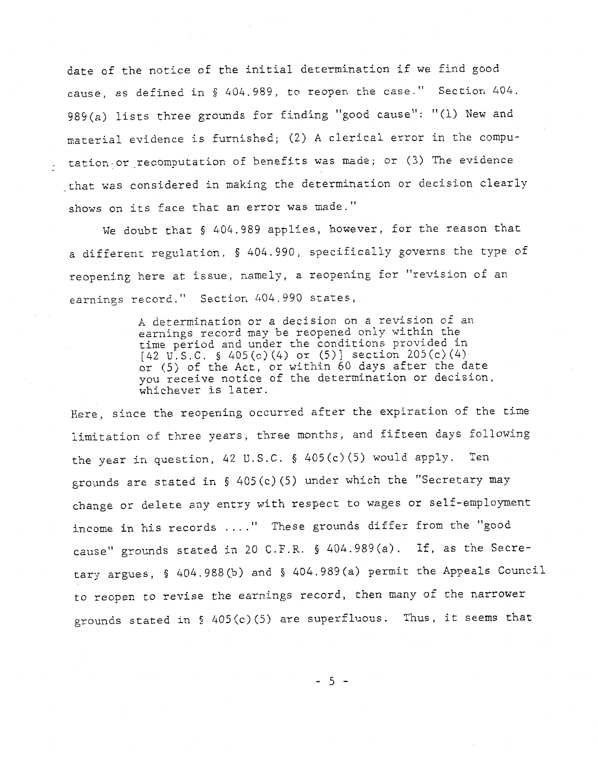date of the notice of the initial determination if we find good cause, as defined in § 404.989, to reopen the case." Section 404. 989(a) lists three grounds for finding "good cause": "(1) New and material evidence is furnished; (2) **A** clerical error in the computation-or.recomputation of benefits was made; or (3) The evidence that was considered in making the determination or decision clearly shows on its face that an error was made."

We doubt that § 404.989 applies, however, for the reason that a different regulation, § 404.990, specifically governs the type of reopening here at issue, namely, a reopening for "revision of an earnings record." Section *404.990* states,

> **A** determination or a decision on a revision of an earnings record may be reopened only within the time period and under the conditions provided in  $[42 \text{ U.S.C. }$  \$ 405(c)(4) or (5)] section 205(c)(4) or (5) of the Act, or within 60 days after the date you receive notice of the determination or decision, whichever is later.

Here, since the reopening occurred after the expiration of the time limitation of three years, three months, and fifteen days following the year in question, *42* U.S.C. § 405(c)(5) would apply. grounds are scated in § 405(c) (5) under which the "Secretary may Ten change or delete any entry with respect to wages or self-employment income **in** his records . . . ." These grounds differ from the "good cause'' grounds stated in 20 C.F.R. § 404.989(a). If, as the Secretary argues, § 404.988(b) and § 404.989(a) permit the Appeals Council to reopen to revise the earnings record, then many of the narrower grounds stated in § 405(c)(5) are superfluous. Thus, it seems that

 $-5-$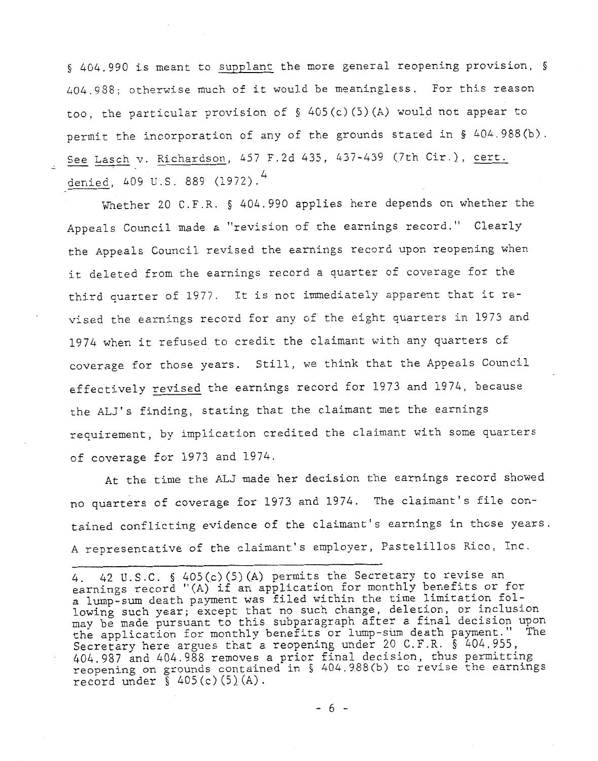§ 404.990 is meant to supplant the more general reopening provision, § 404.958; otherwise much of it would be meaningless. For this reason too, the particular provision of § 405(c)(5)(A) would not appear to permit the incorporation of any of the grounds stated in § 404.988(b). See Lasch v. Richardson, 457 F.2d 435, 437-439 (7th Cir.), cert. denied, 409 U.S. 889 (1972). 4

Whether 20 C.F.R. § 404.990 applies here depends on whether the Appeals Council made a ''revision of the earnings record." Clearly the Appeals Council revised the earnings record upon reopening when it deleted from the earnings record a quarter of coverage for the third quarter of 1977. It is not immediately apparent that it revised the earnings record for any of the eight quarters in 1973 and 1974 when it refused to credit the claimant with any quarters of coverage for those years. Still, we think that the Appeals Council effectively revised the earnings record for 1973 and 1974, because the ALJ's finding, stating that the claimant met the earnings requirement, by implication credited the claimant with some quarters of coverage for 1973 and 1974.

At the time the **ALJ** made her decision the earnings record showed no quarters of coverage for 1973 and 1974. The claimant's file contained conflicting evidence of the claimant's earnings in those years. A representative of the claimant's employer, Pastelillos Rico, Inc.

-6-

*<sup>4.</sup>*  earnings record "(A) if an application for monthly benefits or for a lump-sum death payment was filed within the time limitation following such year; except that no such change, deletion, or inclusion may be made pursuant to this subparagraph after a final decision upon the application for monthly benefits or lump-sum death payment." The Secretary here argues that a reopening under 20 C.F.R. § *404.955, 404.987* and *404.988* removes a prior final decision, thus permitting reopening on grounds contained in § 404.988(b) to revise the earnings record under  $\S$  405(c)(5)(A). 42 **U.S.C.** § 405(c)(5)(A) permits the Secretary to revise an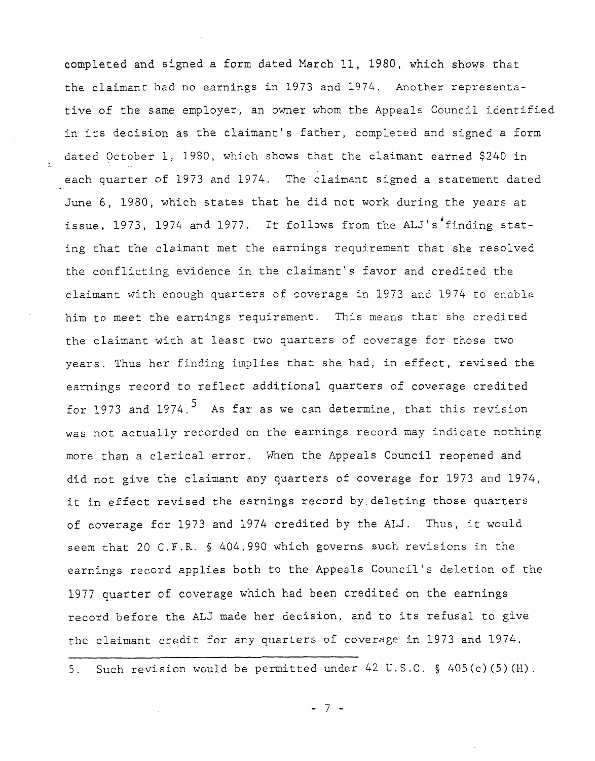completed and signed a form dated March 11, 1980, which shows that the claimant had no earnings in 1973 and 1974. Another representative of the same employer, an owner whom the Appeals Council identified in its decision as the claimant's father, completed and signed a form dated October 1, 1980, which shows that the claimant earned \$240 in each quarter of 1973 and 1974. The claimant signed a statement dated June 6, 1980, which states that he did not work during the years at issue, 1973, 1974 and 1977. It follows from the ALJ's'finding stating that the claimant met the earnings requirement that she resolved the conflicting evidence in the claimant's favor and credited the claimant with enough quarters of coverage in 1973 and 1974 to enable him to meet the earnings requirement. This means that she credited the claimant with at least two quarters of coverage for those two years. Thus her finding implies that she had, in effect, revised the earnings record to reflect additional quarters of coverage credited for 1973 and 1974.<sup>5</sup> As far as we can determine, that this revision was not actually recorded on the earnings record may indicate nothing more than *a* clerical error, When the Appeals Council reopened and did not give the claimant any quarters of coverage for 1973 and 1974, it in effect revised the earnings record by deleting those quarters of coverage for 1973 and 1974 credited by the ALJ. Thus, it would seem that 20 C.F.R. § 404.990 which governs such revisions in the earnings record applies both to the Appeals Council's deletion of the 1977 quarter of coverage which had been credited on the earnings record before the ALJ made her decision, and to its refusal to give the claimant credit for any quarters of coverage in 1973 and 1974.

5. Such revision would be permitted under 42 U. S.C. § 405(c) (5) (H) .

-7-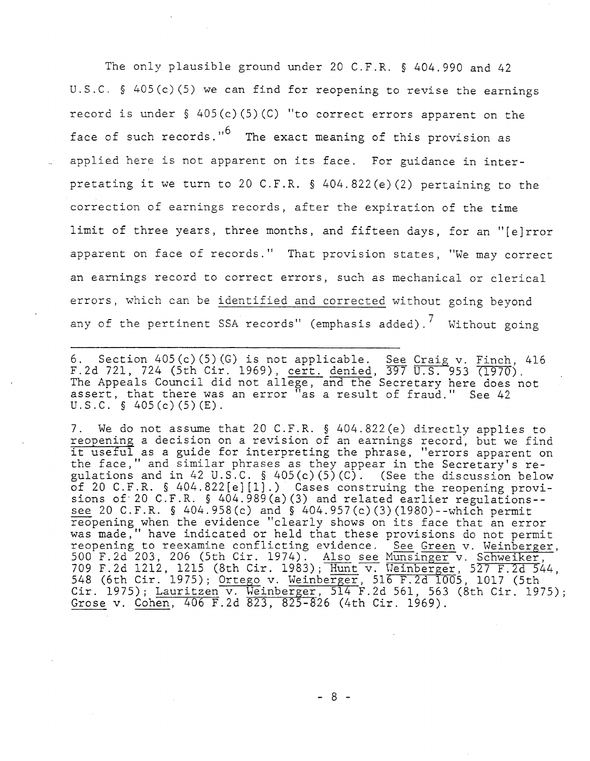The only plausible ground under 20 C.F.R. § 404.990 and 42 U.S.C. § 405(c) (5) we can find for reopening to revise the earnings record is under  $\S$  405(c)(5)(C) "to correct errors apparent on the face of such records."<sup>O</sup> The exact meaning of this provision as applied here is not apparent on its face. For guidance in interpretating it we turn to 20 C.F.R. § 404.822(e)(2) pertaining to the correction of earnings records, after the expiration of the time limit of three years, three months, and fifteen days, for an "[elrror apparent on face of records." That provision states, "We may correct an earnings record to correct errors, such as mechanical or clerical errors, which can be identified and corrected without going beyond any of the pertinent SSA records" (emphasis added).<sup>7</sup> Without going

6. Section 405(c)(5)(G) is not applicable. See Craig v. Finch, 416 F.2d 721, 724 (5th Cir. 1969), cert. denied, *397* U.S. 953 '(1970). The Appeals Council did not allege, and the Secretary here does not assert, that there was an error "as a result of fraud." See 42  $U.S.C.$  § 405(c)(5)(E).

7. We do not assume that 20 C.F.R. § 404.822(e) directly applies to reopening a decision on a revision of an earnings record, but we find it useful as a guide for interpreting the phrase, "errors apparent on the face," and similar phrases as they appear in the Secretary's regulations and in 42 U.S.C. § 405(c) (5) (C) . (See the discussion below of 20 C.F.R. § 404.822[e][l].) Cases construing the reopening provisions of.20 C.F.R. § 404.989(a)(3) and related earlier regulations- see 20 C.F.R. § 404.958(c) and § 404.957(c)(3)(198O)--which permit reopening when the evidence "clearly shows on its face that an error was made," have indicated or held that these provisions do not permit reopening to reexamine conflicting evidence. See Green v. Weinberger, Example a uncertainty of a revision of the phrase security useful as a guide for interpreting the phrase, "errors apparent on<br>the face," and similar phrases as they appear in the Secretary's re-<br>gulations and in 42 U.S.C. 709 F.2d 548 (6th Cir. 1975 Grose v.  $1212$ ,  $1215$  (8th Cir. 1983);  $\overline{\text{Hunt}}$  v. Weinberger, and in 42 U.S.C. § 405(c)(5)(C). (See the discussion<br>The Bellevission of the discussion<br>The secondary of the discussion<br>20 C.F.R. § 404.989(a)(3) and related earlier regulation<br>F.R. § 404.958(c) and § 404.957(c)(3)(1980)--5); Lauritzen v. Weinberger,  $514$  F.2d 561, 563 (8 Cohen. 406 F.2d 823. 825-826 (4th Cir. 1969). nberger<br>eiker, 527 F.2d 544, th Cir. 1975); 1017 (5th

-8-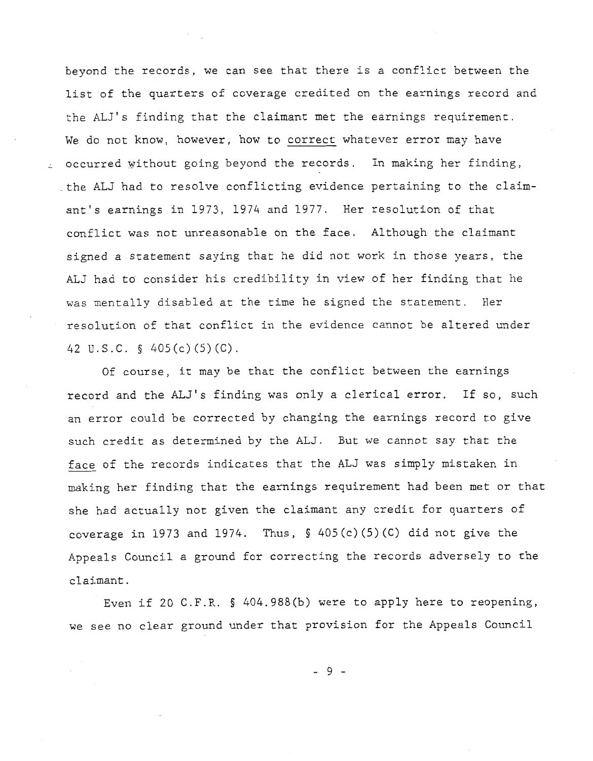beyond the records, we can see that there is a conflict between the list of the quarters of coverage credited on the earnings record and the ALJ's finding that the claimant met the earnings requirement, We do not know, however, how *to* correct whatever error may have occurred without going beyond the records. In making her finding, -the ALJ had to resolve conflicting evidence pertaining to the claimant's earnings in 1973, 1974 and 1977. Her resolution of that conflict was not unreasonable on the face. Although the claimant signed a statement saying that he did not work in those years, the ALJ had to consider his credibility in view of her finding that he was mentally disabled at the time he signed the statement. Her resolution of that conflict in the evidence cannot be altered under *42* U.S.C. § 405(c)(5)(C).

Of course, it may be that the conflict between the earnings record and the **ALJ's** finding was only a clerical error. If so, such an error could be corrected by changing the earnings record to give such credit as determined by the ALJ. But we cannot say that the face of the records indicates that the ALJ was simply mistaken in making her finding that the earnings requirement had been met or that she had actually not given the claimant any credit for quarters of coverage in 1973 and 1974. Thus,  $\S$  405(c)(5)(C) did not give the Appeals Council a ground for correcting the records adversely to the claimant.

Even if 20 C.F.R. § 404.988(b) were to apply here to reopening, we see no clear ground under that provision for the Appeals Council

-9-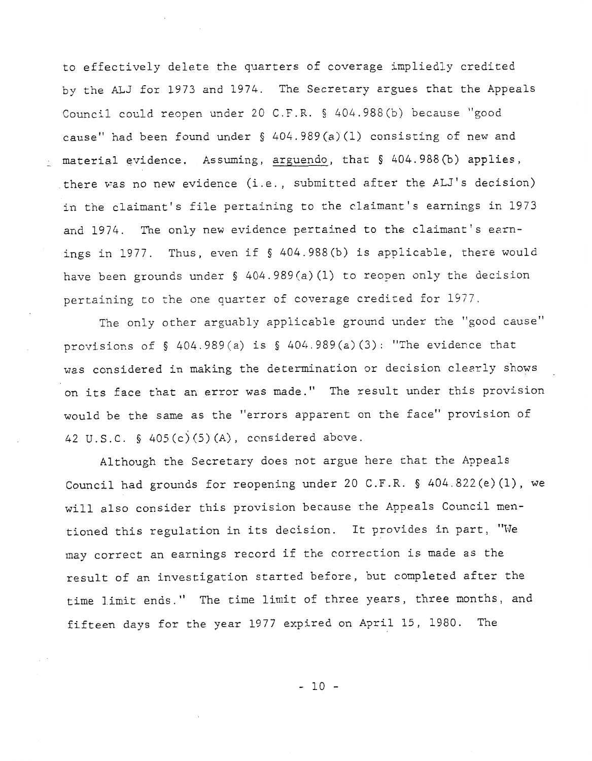to effectively delete the quarters of coverage impliedly credited by the ALJ for 1973 and 1974. The Secretary argues that the Appeals Council could reopen under 20 C.F.R. § 404.988(b) because "good cause" had been found under § 404.989(a) (1) consisting of new and material evidence. Assuming, arguendo, that § 404.988(b) applies, there was no new evidence (i.e., submitted after the ALJ's decision) in the claimant's file pertaining to the claimant's earnings in 1973 and 1974. The only new evidence pertained to the claimant's exnings in 1977. Thus, even if § 404.988(b) is applicable, there would have been grounds under § 404.989 (a) (1) to reopen only the decision pertaining to the one quarter of coverage credited for 1977.

The only other arguably applicable ground under the "good cause" provisions of § 404.989 (a) is § 404.989 (a) (3) : "The eviderce that was considered in making the determination or decision clesrly shows on its face that an error was made." The result under this provision would be the same as the "errors apparent on the face" provision of 42 U.S.C. § 405(c) (5) (A), ccnsidered above.

Although the Secretary does not argue here that the Appeals Council had grounds for reopening under 20 C.F.R. § 404.822(e)(l), we will also consider this provision because the Appeals Council mentioned this regulation in its decision. It provides in part, "We may correct an earnings record if the correction is made as the result of an investigation started before, but completed after the time limit ends." The time limit of three years, three months, and fifteen days for the year 1977 expired on April 15, 1980. The

- 10 -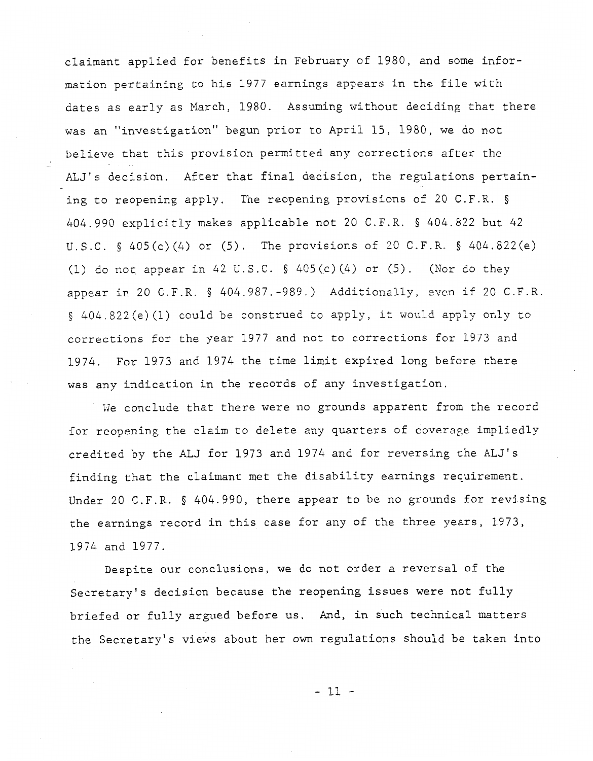claimant applied for benefits in February of *1980,* and some information pertaining **EO** his 1977 earnings appears in the file with dates as early as March, *1980.* Assuming without deciding that there was an *11* investigation" begun prior to April 15, 1980, we do not believe that this provision permitted any corrections after the ALJ's decision. After that final decision, the regulations pertaining to reopening apply. The reopening provisions of *20* C.F.R. § *404.990* explicitly makes applicable not *20* C.F.R. *404.822* but *42*  U.S.C. § *405(c)(4)* or *(5).* The provisions of *20* C.F.R. § *404.822(e)*  (1) do not appear in *42* U.S.C. § *405 (c) (4)* or (5). (Nor do they appear in *20* C.F.R. § *404.987,-989.)* Additionally, even if *20* C.F.R. § 404.822(e)(l) could be construed to apply, it would apply only to corrections for the year 1977 and not to corrections for 1973 and *1974.* For *1973* and *1974* the time limit expired long before there was any indication in the records of any investigation.

-

We conclude that there were no grounds apparent from the record for reopening the claim to delete any quarters of coverage impliedly credited by the ALJ for *1973* and *1974* and for reversing the ALJ's finding that the claimant met the disability earnings requirement. Under *20* C.F.R. *§ 404.990,* there appear to be no grounds for revising rhe earnings record in this case for any **of** the three years, 1973, *1974* and *1977.* 

Despite our conclusions, we do not order a reversal of the Secretary's decision because the reopening issues were not **fully**  briefed or fully argued before us. And, in such technical matters the Secretary's views about her own regulations should be taken into